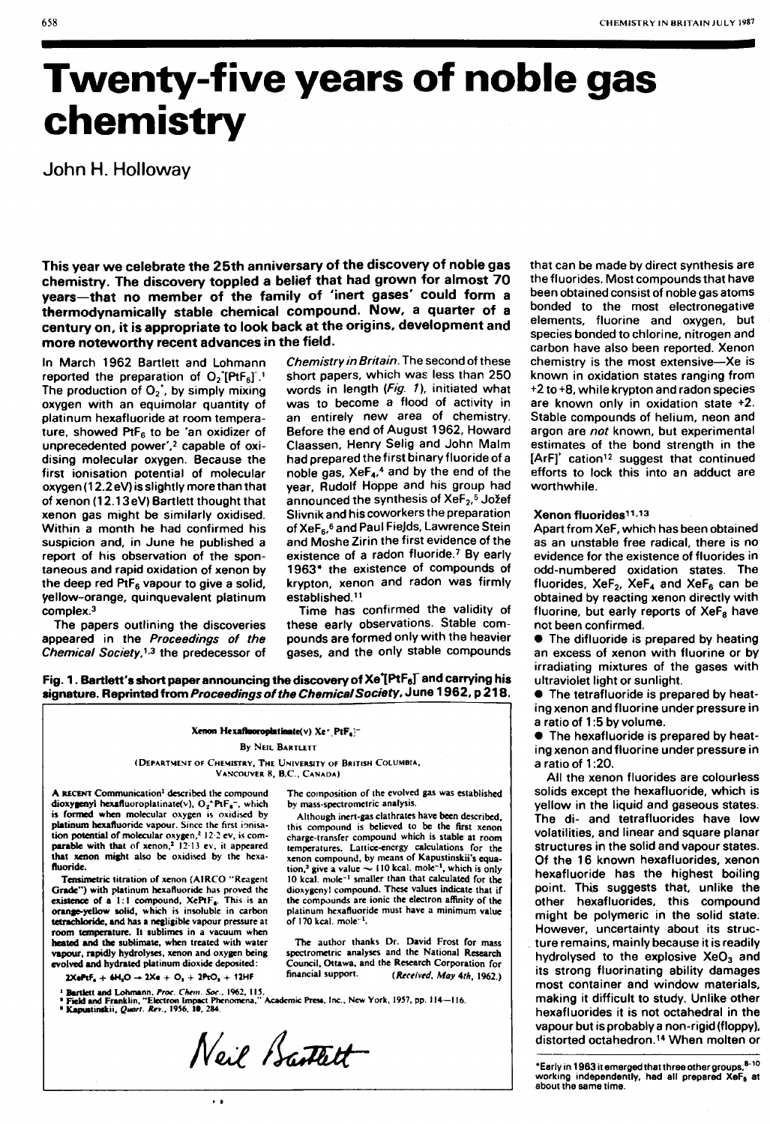# **Twenty-five years of noble gas chemistry**

John H. Holloway

This year we celebrate the 25th anniversary of the discovery of noble gas chemistry. The discovery toppled a belief that had grown for almost 70 years-that no member of the family of 'inert gases' could form a thermodynamically stable chemical compound. Now, a quarter of a century on, it is appropriate to look back at the origins, development and more noteworthy recent advances in the field.

In March 1962 Bartlett and Lohmann reported the preparation of  $O_2$ <sup> $[PtF<sub>6</sub>]$ .<sup>1</sup></sup> The production of  $O_2$ <sup>+</sup>, by simply mixing oxygen with an equimolar quantity of platinum hexafluoride at room temperature, showed PtF $_6$  to be 'an oxidizer of unprecedented power',<sup>2</sup> capable of oxidising molecular oxygen. Because the first ionisation potential of molecular oxygen (12.2 eV) is slightly more than that of xenon (12.13eV) Bartlett thought that xenon gas might be similarly oxidised. Within a month he had confirmed his suspicion and, in June he published a report of his observation of the spontaneous and rapid oxidation of xenon by the deep red Pt $F_6$  vapour to give a solid, yellow-orange, quinquevalent platinum complex.3

The papers outlining the discoveries appeared in the Proceedings of the Chemical Society,<sup>1,3</sup> the predecessor of

Chemistry in Britain. The second of these short papers, which was less than 250 words in length (Fig. 1), initiated what was to become a flood of activity in an entirely new area of chemistry. Before the end of August 1962, Howard Claassen, Henry Selig and John Maim had prepared the first binary fluoride of a noble gas, XeF4,4 and by the end of the year, Rudolf Hoppe and his group had announced the synthesis of XeF<sub>2,5</sub> Jožef Slivnik and his coworkers the preparation of XeF<sub>6</sub>,<sup>6</sup> and Paul Fields, Lawrence Stein and Moshe Zirin the first evidence of the existence of a radon fluoride.<sup>7</sup> By early 1963\* the existence of compounds of krypton, xenon and radon was firmly established. <sup>11</sup>

Time has confirmed the validity of these early observations. Stable compounds are formed only with the heavier gases, and the only stable compounds

The composition of the evolved gas was established

Although inert-gas clathrates have been described, this compound is believed to be the first xenon charge-transfer compound which is stable at room temperatures. Lattice-encrgy calculations for the xenon compound, by means of Kapustinskii's equa-<br>tion,<sup>3</sup> give a value ~ 110 kcal. mole<sup>-1</sup>, which is only 10 kcal.  $\text{mole}^{-1}$  smaller than that calculated for the dioxygcnyl compound. These values indicate that if the compounds are ionic the electron affinity of the platinum hcxaftuoride must have a minimum value

The author thanks Dr. David Frost for mass spectrometric analyses and the National Research Council, Ottawa, and the Research Corporation for<br>financial support. (Received, May 4th. 1962.)

*(Received, May 4th, 1962.)* 

by mass-spectrometric analysis.

of 170 kcal. mole<sup>-1</sup>

Fig. 1. Bartlett's short paper announcing the discovery of  $Xe^T$ PtF<sub>6</sub> $\Gamma$  and carrying his signature. Reprinted from Proceedings of the Chemical Society, June 1962, p 218.

#### Xenon Hexafluoroplatinate(v) Xe<sup>+</sup> PtF<sub>6</sub>}<sup>-</sup>

By NEIL BARTLETT

(DEPARTMENT OF CHEMISTRY, THE UNIVERSITY OF BRITISH COLUMBIA, VANCOUVER 8, B.C., CANADA)

A RECENT Communication<sup>1</sup> described the compound dioxygenyl hexafluoroplatinate(v),  $O_2^{\ast}PtF_6^-$ , which is formed when molecular oxygen is oxidised by platinum hexaftuoride vapour. Since the first ionisation potential of molecular  $\sigma$ xygen,<sup>2</sup> I2-2 ev, is comparable with that of xenon,<sup>2</sup> I2-13 ev, it appeared that xenon might also be oxidised by the hexafluoride.

Tensimetric titration of xenon (AIRCO "Reagent Grade") with platinum hexaftuoride has proved the existence of a  $1:1$  compound, XePtF<sub>a</sub>. This is an orange-yellow solid, which is insoluble in carbon tetrachloride, and has a negligible vapour pressure at room temperature. It sublimes in a vacuum when heated and the sublimate, when treated with water vapour, rapidly hydrolyses, xenon and oxygen being evolved and hydrated platinum dioxide deposited:

 $2XePtF_6 + 6H_8O \rightarrow 2Xe + O_8 + 2PtO_1 + 12HF$ 

<sup>1</sup> Bartlett and Lohmann, *Proc. Chem. Soc.*, 1962, 115.<br><sup>9</sup> Field and Franklin, "Electron Impact Phenomena," Academic Press, Inc., New York, 1957, pp. 114-116.<br><sup>9</sup> Kapustinskii, *Quart. Rev.*, 1956, 10, 284.

Neil Bastlett

that can be made by direct synthesis are the fluorides. Most compounds that have been obtained consist of noble gas atoms bonded to the most electronegative elements, fluorine and oxygen, but species bonded to chlorine, nitrogen and carbon have also been reported. Xenon chemistry is the most extensive-Xe is known in oxidation states ranging from +2 to +8, while krypton and radon species are known only in oxidation state +2. Stable compounds of helium, neon and argon are not known, but experimental estimates of the bond strength in the  $[ArF]$ <sup>+</sup> cation<sup>12</sup> suggest that continued efforts to lock this into an adduct are worthwhile.

#### Xenon fluorides<sup>11,13</sup>

Apart from XeF, which has been obtained as an unstable free radical, there is no evidence for the existence of fluorides in odd-numbered oxidation states. The fluorides,  $XeF_2$ ,  $XeF_4$  and  $XeF_6$  can be obtained by reacting xenon directly with fluorine, but early reports of XeF<sub>a</sub> have not been confirmed.

**•** The difluoride is prepared by heating an excess of xenon with fluorine or by irradiating mixtures of the gases with ultraviolet light or sunlight.

• The tetrafluoride is prepared by heating xenon and fluorine under pressure in a ratio of 1 :5 by volume.

**• The hexafluoride is prepared by heat**ing xenon and fluorine under pressure in a ratio of 1 :20.

All the xenon fluorides are colourless solids except the hexafluoride, which is yellow in the liquid and gaseous states. The di- and tetrafluorides have low volatilities, and linear and square planar structures in the solid and vapour states. Of the 16 known hexafluorides, xenon hexafluoride has the highest boiling point. This suggests that, unlike the other hexafluorides, this compound might be polymeric in the solid state. However, uncertainty about its struc ture remains, mainly because it is readily hydrolysed to the explosive  $XeO<sub>3</sub>$  and its strong fluorinating ability damages most container and window materials, making it difficult to study. Unlike other hexafluorides it is not octahedral in the vapour but is probably a non-rigid (floppy), distorted octahedron. 14 When molten or

• Early in 1963 it emerged that three other groups.8-10 working independently. had all prepared XeF, at about the same time .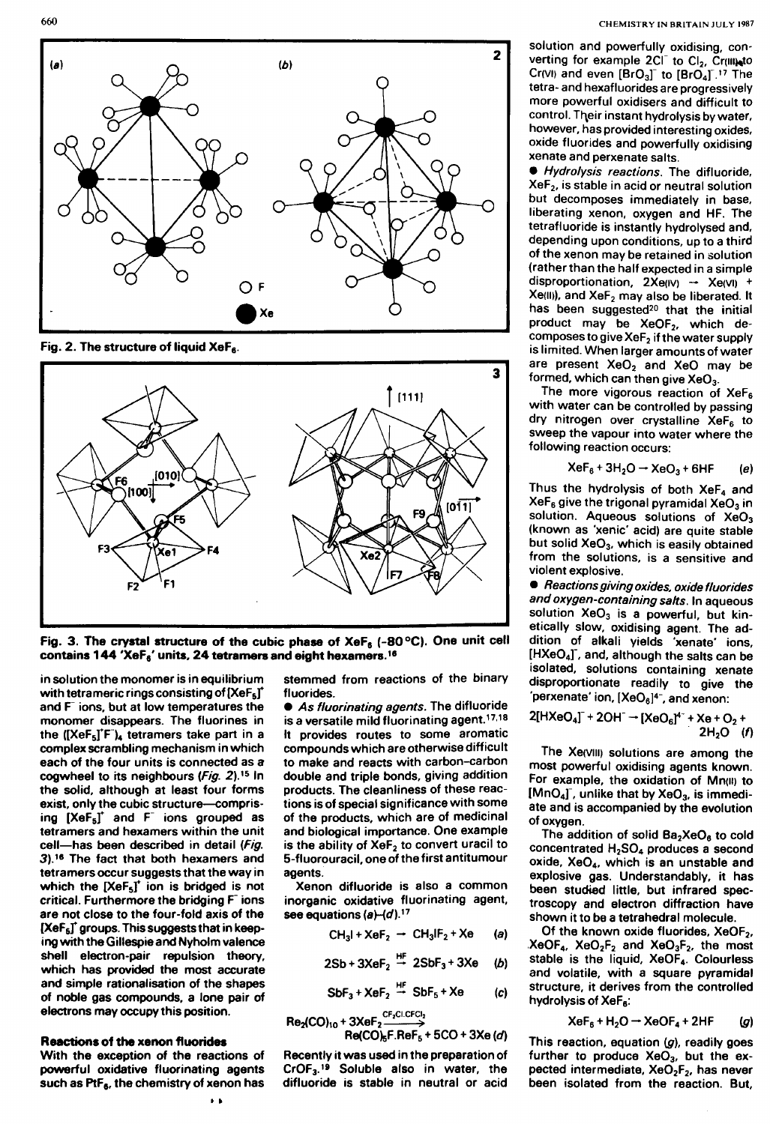

Fig. 2. The structure of liquid  $XeF_8$ .



Fig. 3. The crystal structure of the cubic phase of  $XeF_6$  (-80 °C). One unit cell contains 144 'XeFs' units, 24 tetramers and eight hexamers.1s

in solution the monomer is in equilibrium with tetrameric rings consisting of  $[XeF<sub>5</sub>]<sup>*</sup>$ and F ions, but at low temperatures the monomer disappears. The fluorines in the  $([XeF<sub>5</sub>]<sup>*</sup>F)<sub>4</sub>$  tetramers take part in a complex scrambling mechanism in which each of the four units is connected as a cogwheel to its neighbours (Fig. 2).<sup>15</sup> In the solid, although at least four forms exist, only the cubic structure-comprising  $[XeF<sub>5</sub>]$  and F ions grouped as tetramers and hexamers within the unit cell-has been described in detail (Fig. 3).<sup>16</sup> The fact that both hexamers and tetramers occur suggests that the way in which the  $[XeF_5]$ <sup>t</sup> ion is bridged is not critical. Furthermore the bridging F ions are not close to the four-fold axis of the  $[XeF<sub>5</sub>]$  groups. This suggests that in keeping with the Gillespie and Nyholm valence shell electron-pair repulsion theory, which has provided the most accurate and simple rationalisation of the shapes of noble gas compounds, a lone pair of electrons may occupy this position.

### Reactions of the xenon fluorides

With the exception of the reactions of powerful oxidative fluorinating agents such as PtF<sub>6</sub>, the chemistry of xenon has stemmed from reactions of the binary fluorides.

**• As fluorinating agents. The difluoride** is a versatile mild fluorinating agent.<sup>17,18</sup> It provides routes to some aromatic compounds which are otherwise difficult to make and reacts with carbon-carbon double and triple bonds, giving addition products. The cleanliness of these reactions is of special significance with some of the products, which are of medicinal and biological importance. One example is the ability of  $XeF_2$  to convert uracil to 5-fluorouracil, one of the first antitumour agents.

Xenon difluoride is also a common inorganic oxidative fluorinating agent, see equations  $(a)-(d)$ .<sup>17</sup>

$$
CH_3I+XeF_2 \rightarrow CH_3IF_2+Xe \qquad (a)
$$

$$
2\text{Sb} + 3\text{XeF}_2 \stackrel{\text{HF}}{\rightarrow} 2\text{SbF}_3 + 3\text{Xe} \quad (b)
$$

$$
SbF_3 + XeF_2 \stackrel{HF}{\rightarrow} SbF_5 + Xe \qquad (c)
$$

$$
Be2(CO)10 + 3XeF2 \xrightarrow{CF2 - G1CICC12}
$$
  
Re(CO)<sub>8</sub>F.ReF<sub>5</sub> + 5CO + 3Xe(d)

Recently it was used in the preparation of  $CrOF<sub>3</sub>.<sup>19</sup>$  Soluble also in water, the difluoride is stable in neutral or acid solution and powerfully oxidising, converting for example 2CI<sup>-</sup> to CI<sub>2</sub>, Cr(III) to Cr(VI) and even  $[BrO_3]$  to  $[BrO_4]$ .<sup>17</sup> The tetra- and hexafluorides are progressively more powerful oxidisers and difficult to control. Their instant hydrolysis by water, however, has provided interesting oxides, oxide fluorides and powerfully oxidising xenate and perxenate salts .

• Hydrolysis reactions. The difluoride, XeF2, is stable in acid or neutral solution but decomposes immediately in base, liberating xenon, oxygen and HF. The tetrafluoride is instantly hydrolysed and, depending upon conditions, up to a third of the xenon may be retained in solution (rather than the half expected in a simple disproportionation,  $2Xe_{(IV)}$  -  $Xe_{(VI)}$  + Xe(II)), and XeF<sub>2</sub> may also be liberated. It has been suggested<sup>20</sup> that the initial product may be  $XeOF<sub>2</sub>$ , which decomposes to give XeF<sub>2</sub> if the water supply is limited. When larger amounts of water are present  $XeO<sub>2</sub>$  and  $XeO$  may be formed, which can then give  $XeO<sub>3</sub>$ .

The more vigorous reaction of  $XeF_6$ with water can be controlled by passing dry nitrogen over crystalline  $XeF_6$  to sweep the vapour into water where the following reaction occurs:

$$
XeF_6 + 3H_2O \rightarrow XeO_3 + 6HF \qquad (e)
$$

Thus the hydrolysis of both  $XeF_4$  and  $XeF_6$  give the trigonal pyramidal  $XeO_3$  in solution. Aqueous solutions of  $XeO<sub>3</sub>$ (known as 'xenic' acid) are quite stable but solid XeO<sub>3</sub>, which is easily obtained from the solutions, is a sensitive and violent explosive.

• Reactions giving oxides, oxide fluorides and oxygen-containing salts. In aqueous solution  $XeO<sub>3</sub>$  is a powerful, but kinetically slow, oxidising agent. The addition of alkali yields 'xenate' ions,  $[HXeO<sub>4</sub>]$ , and, although the salts can be isolated, solutions containing xenate disproportionate readily to give the 'perxenate' ion,  $[XeO<sub>6</sub>]<sup>4</sup>$ , and xenon:

$$
2[HXeO4]+2OH- - [XeO6]4- + Xe + O2 +2H2O (f)
$$

The Xe(VIII) solutions are among the most powerful oxidising agents known. For example, the oxidation of Mn(l) to  $[MnO<sub>4</sub>]$ , unlike that by Xe $O<sub>3</sub>$ , is immediate and is accompanied by the evolution of oxygen.

The addition of solid  $Ba_2XeO_6$  to cold concentrated  $H_2SO_4$  produces a second oxide, XeO<sub>4</sub>, which is an unstable and explosive gas. Understandably, it has been studied little, but infrared spectroscopy and electron diffraction have shown it to be a tetrahedral molecule.

Of the known oxide fluorides, XeOF<sub>2</sub>,  $XeOF<sub>4</sub>$ ,  $XeO<sub>2</sub>F<sub>2</sub>$  and  $XeO<sub>3</sub>F<sub>2</sub>$ , the most stable is the liquid, XeOF<sub>4</sub>. Colourless and volatile, with a square pyramidal structure, it derives from the controlled hydrolysis of XeF<sub>s</sub>:

$$
XeF_6 + H_2O \rightarrow XeOF_4 + 2HF
$$
 (g)

This reaction, equation  $(g)$ , readily goes further to produce  $XeO<sub>3</sub>$ , but the expected intermediate,  $XeO<sub>2</sub>F<sub>2</sub>$ , has never been isolated from the reaction. But,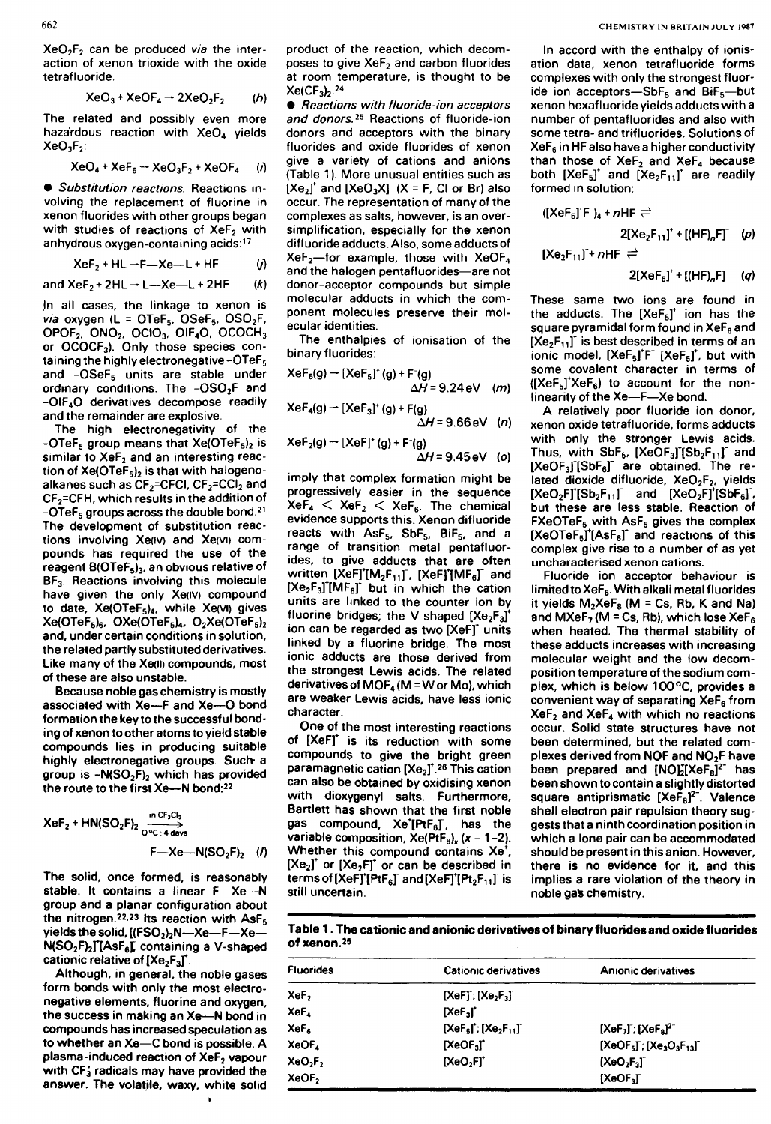Xe02F2 can be produced *via* the interaction of xenon trioxide with the oxide tetrafluoride.

$$
XeO_3+XeOF_4 \rightarrow 2XeO_2F_2 \qquad (h)
$$

The related and possibly even more hazardous reaction with XeO<sub>4</sub> yields  $XeO_3F_2$ :

$$
XeO_4 + XeF_6 \rightarrow XeO_3F_2 + XeOF_4 \qquad (i)
$$

*• Substitution reactions.* Reactions involving the replacement of fluorine in xenon fluorides with other groups began with studies of reactions of  $XeF_2$  with anhydrous oxygen-containing acids:<sup>17</sup>

$$
XeF_2 + HL \rightarrow F - Xe - L + HF \qquad (j)
$$

and  $XeF_2 + 2HL \rightarrow L-Xe-L + 2HF$  (k)

.In all cases, the linkage to xenon is *via* oxygen (L = OTeF<sub>5</sub>, OSeF<sub>5</sub>, OSO<sub>2</sub>F, OPOF<sub>2</sub>, ONO<sub>2</sub>, OCIO<sub>3</sub>, OIF<sub>4</sub>O, OCOCH<sub>3</sub> or OCOCF3). Only those species containing the highly electronegative  $-OTeF<sub>5</sub>$ and -OSeF<sub>5</sub> units are stable under ordinary conditions. The -OSO<sub>2</sub>F and -OIF40 derivatives decompose readily and the remainder are explosive.

The high electronegativity of the -OTeF<sub>5</sub> group means that  $Xe(OTeF<sub>5</sub>)<sub>2</sub>$  is similar to XeF<sub>2</sub> and an interesting reaction of  $Xe(OTeF<sub>5</sub>)<sub>2</sub>$  is that with halogenoalkanes such as  $CF_2=CFCI$ ,  $CF_2=CCI_2$  and  $CF<sub>2</sub>=CFH$ , which results in the addition of  $-$ OTeF<sub>5</sub> groups across the double bond.<sup>21</sup> The development of substitution reactions involving Xe(IV) and Xe(vI) compounds has required the use of the reagent  $B(OTeF<sub>5</sub>)<sub>3</sub>$ , an obvious relative of BF<sub>3</sub>. Reactions involving this molecule have given the only Xe(IV) compound to date, Xe(OTeF<sub>5</sub>)<sub>4</sub>, while Xe(VI) gives  $Xe(OTeF<sub>5</sub>)<sub>6</sub>$ , OXe(OTeF<sub>5</sub>)<sub>4</sub>, O<sub>2</sub>Xe(OTeF<sub>5</sub>)<sub>2</sub> and, under certain conditions in solution, the related partly substituted derivatives. Like many of the Xe(II) compounds, most of these are also unstable.

Because noble gas chemistry is mostly associated with Xe-F and Xe-O bond formation the key to the successful bonding of xenon to other atoms to yield stable compounds lies in producing suitable highly electronegative groups. Such· a group is  $-N(SO_2F)_2$  which has provided the route to the first Xe-N bond:<sup>22</sup>

XeF<sub>2</sub> + HN(SO<sub>2</sub>F)<sub>2</sub> 
$$
\frac{^{in CF_2Cl_2}}{^{o \circ C : 4 \text{ days}}}
$$
  
F-Xe–N(SO<sub>2</sub>F)<sub>2</sub> (1)

The solid, once formed, is reasonably stable. It contains a linear F-Xe--N group and a planar configuration about the nitrogen.<sup>22,23</sup> its reaction with AsF<sub>5</sub> yields the solid,  $[(FSO<sub>2</sub>)<sub>2</sub>N-Xe-F-Xe N(SO_2F)_2$ <sup>T</sup>[AsF<sub>6</sub>], containing a V-shaped cationic relative of  $[Xe_2F_3]$ .

Although, in general, the noble gases form bonds with only the most electronegative elements, fluorine and oxygen, the success in making an Xe-N bond in compounds has increased speculation as to whether an Xe-C bond is possible. A plasma-induced reaction of XeF<sub>2</sub> vapour with CF<sub>3</sub> radicals may have provided the answer. The volatile, waxy, white solid product of the reaction, which decomposes to give XeF<sub>2</sub> and carbon fluorides at room temperature, is thought to be  $Xe(CF_3)$ , 24

*• Reactions with fluoride-ion acceptors*  and donors.<sup>25</sup> Reactions of fluoride-ion donors and acceptors with the binary fluorides and oxide fluorides of xenon give a variety of cations and anions (Table 1). More unusual entities such as  $[Xe_2]$ <sup>+</sup> and  $[XeO_3X]$ <sup>-</sup>  $(X = F, Cl$  or Br) also occur. The representation of many of the complexes as salts, however, is an oversimplification, especially for the xenon difluoride adducts. Also, some adducts of  $XeF_2$ -for example, those with  $XeOF_4$ and the halogen pentafluorides-are not donor-acceptor compounds but simple molecular adducts in which the component molecules preserve their molecular identities.

The enthalpies of ionisation of the binary fluorides:

$$
XeF6(g) \rightarrow [XeF5]*(g) + F-(g)
$$
  

$$
\Delta H = 9.24 \text{ eV} \quad (m)
$$

 $XeF_4(g) \rightarrow [XeF_3]^+(g) + F(g)$  $\Delta H = 9.66$ eV (n)

 $XeF_2(g) - [XeF]^+(g) + F^-(g)$  $\Delta H = 9.45$ eV (0)

imply that complex formation might be progressively easier in the sequence  $XeF_4 < XeF_2 < XeF_6$ . The chemical evidence supports this. Xenon difluoride reacts with  $AsF<sub>5</sub>$ , SbF<sub>5</sub>, BiF<sub>5</sub>, and a range of transition metal pentafluorides, to give adducts that are often written  $[XeF]^{r}[M_{2}F_{11}]^{r}$ ,  $[XeF]^{r}[MF_{6}]^{r}$  and  $[Xe_2F_3]'[MF_6]$  but in which the cation units are linked to the counter ion by fluorine bridges; the V-shaped  $[Xe_2F_3]$ <sup>+</sup> ion can be regarded as two [XeF]<sup>+</sup> units linked by a fluorine bridge. The most ionic adducts are those derived from the strongest Lewis acids. The related derivatives of MOF<sub>4</sub> (M = W or Mo), which are weaker Lewis acids, have less ionic character.

One of the most interesting reactions of [XeF]' is its reduction with some compounds to give the bright green paramagnetic cation  $[Xe_2]^2$ .<sup>26</sup> This cation can also be obtained by oxidising xenon with dioxygenyl salts. Furthermore, Bartlett has shown that the first noble gas compound,  $Xe^{\dagger}[PtF_6]$ , has the variable composition,  $Xe(PtF_6)_x$  (x = 1-2). Whether this compound contains Xe<sup>+</sup>,  $[Xe<sub>2</sub>]$  or  $[Xe<sub>2</sub>F]$  or can be described in terms of  $[XeF][PtF_6]$  and  $[XeF][Pt_2F_{11}]$  is still uncertain.

In accord with the enthalpy of ionisation data, xenon tetrafluoride forms complexes with only the strongest fluoride ion acceptors-SbF<sub>5</sub> and BiF<sub>5</sub>-but xenon hexafluoride yields adducts with a number of pentafluorides and also with some tetra- and trifluorides. Solutions of  $XeF<sub>6</sub>$  in HF also have a higher conductivity than those of  $XeF_2$  and  $XeF_4$  because both  $[XeF_5]^t$  and  $[Xe_2F_{11}]^t$  are readily formed in solution:

$$
([\text{XeF}_5]^{\dagger}F^{\dagger})_4 + nHF \rightleftharpoons
$$
  
2[\text{Xe}\_2F\_{11}]^{\dagger} + [(\text{HF})\_nF]^{\dagger} (p)  
[\text{Xe}\_2F\_{11}]^{\dagger} + nHF \rightleftharpoons

$$
2[XeF_5]^+ + [(HF)_nF]^-(q)
$$

These same two ions are found in the adducts. The  $[XeF_5]$ <sup>t</sup> ion has the square pyramidal form found in  $XeF_6$  and  $[Xe_2F_{11}]^{\dagger}$  is best described in terms of an ionic model,  $[XeF_5]^T F$   $[XeF_5]^T$ , but with some covalent character in terms of  $([XeF<sub>5</sub>]<sup>*</sup>XeF<sub>6</sub>)$  to account for the nonlinearity of the Xe-F-Xe bond.

A relatively poor fluoride ion donor, xenon oxide tetrafluoride, forms adducts with only the stronger Lewis acids. Thus, with  $SbF_5$ ,  $[XeOF_3]^t[Sb_2F_{11}]$  and  $[XeOF<sub>3</sub>]<sup>*</sup>[SbF<sub>6</sub>]$  are obtained. The related dioxide difluoride,  $XeO_2F_2$ , yields  $[XeO_2F]^{\dagger}[Sb_2F_{11}]$  and  $[XeO_2F]^{\dagger}[SbF_6]$ , but these are less stable. Reaction of  $FXeOTeF<sub>5</sub>$  with AsF<sub>5</sub> gives the complex  $[XeOTeF<sub>5</sub>]<sup>T</sup>[AsF<sub>6</sub>]<sup>T</sup>$  and reactions of this complex give rise to a number of as yet uncharacterised xenon cations.

Fluoride ion acceptor behaviour is limited to XeFs. With alkali metal fluorides it yields  $M_2XeF_8$  (M = Cs, Rb, K and Na) and  $MxeF<sub>7</sub>$  (M = Cs, Rb), which lose XeF<sub>6</sub> when heated. The thermal stability of these adducts increases with increasing molecular weight and the low decomposition temperature of the sodium complex, which is below 100 °C, provides a convenient way of separating  $XeF_6$  from  $XeF<sub>2</sub>$  and  $XeF<sub>4</sub>$  with which no reactions occur. Solid state structures have not been determined, but the related complexes derived from NOF and NO<sub>2</sub>F have been prepared and  $[NO]_2^*[XeF_8]^{2-}$  has been shown to contain a slightly distorted square antiprismatic  $[XeF_8]^2$ . Valence shell electron pair repulsion theory suggests that a ninth coordination position in which a lone pair can be accommodated should be present in this anion. However, there is no evidence for it, and this implies a rare violation of the theory in noble gas chemistry.

Table 1 . The cationic and anionic derivatives of binary fluorides and oxide fluorides of xenon.<sup>25</sup>

| <b>Fluorides</b>                | <b>Cationic derivatives</b>               | Anionic derivatives                |
|---------------------------------|-------------------------------------------|------------------------------------|
| XeF <sub>2</sub>                | $[XeF]^{\dagger}$ ; $[Xe_2F_3]^{\dagger}$ |                                    |
| XeF,                            | $[XeF_3]$                                 |                                    |
| XeF <sub>s</sub>                | $[XeF_5]'$ ; $[Xe_2F_{11}]'$              | $[XeF_7]$ ; $[XeF_8]^{2-}$         |
| XeOF,                           | $[XeOF_3]$                                | $[XeOF5]$ ; $[Xe3O3F13]$           |
| XeO <sub>2</sub> F <sub>2</sub> | [XeO <sub>2</sub> F]                      | [XeO <sub>2</sub> F <sub>3</sub> ] |
| XeOF <sub>2</sub>               |                                           | [XeOF <sub>3</sub> ]               |